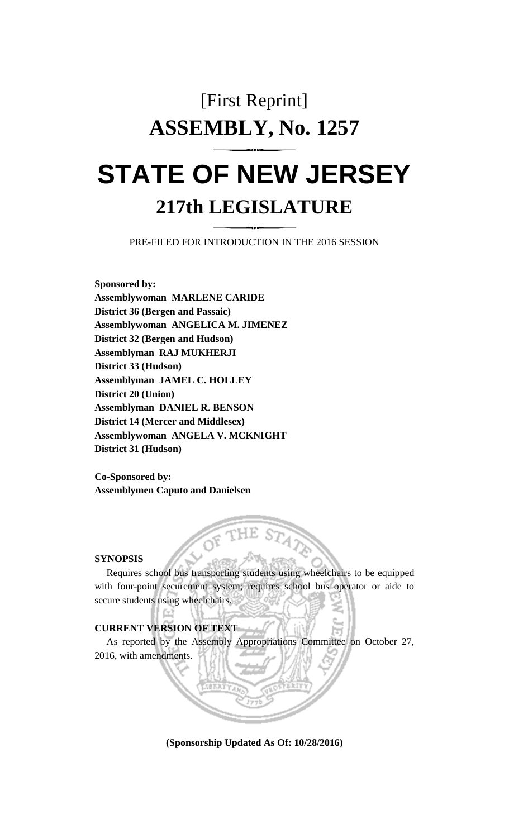# [First Reprint] **ASSEMBLY, No. 1257 STATE OF NEW JERSEY**

# **217th LEGISLATURE**

PRE-FILED FOR INTRODUCTION IN THE 2016 SESSION

**Sponsored by: Assemblywoman MARLENE CARIDE District 36 (Bergen and Passaic) Assemblywoman ANGELICA M. JIMENEZ District 32 (Bergen and Hudson) Assemblyman RAJ MUKHERJI District 33 (Hudson) Assemblyman JAMEL C. HOLLEY District 20 (Union) Assemblyman DANIEL R. BENSON District 14 (Mercer and Middlesex) Assemblywoman ANGELA V. MCKNIGHT District 31 (Hudson)**

**Co-Sponsored by: Assemblymen Caputo and Danielsen**

#### **SYNOPSIS**

Requires school bus transporting students using wheelchairs to be equipped with four-point securement system; requires school bus operator or aide to secure students using wheelchairs.

### **CURRENT VERSION OF TEXT**

As reported by the Assembly Appropriations Committee on October 27, 2016, with amendments.

**(Sponsorship Updated As Of: 10/28/2016)**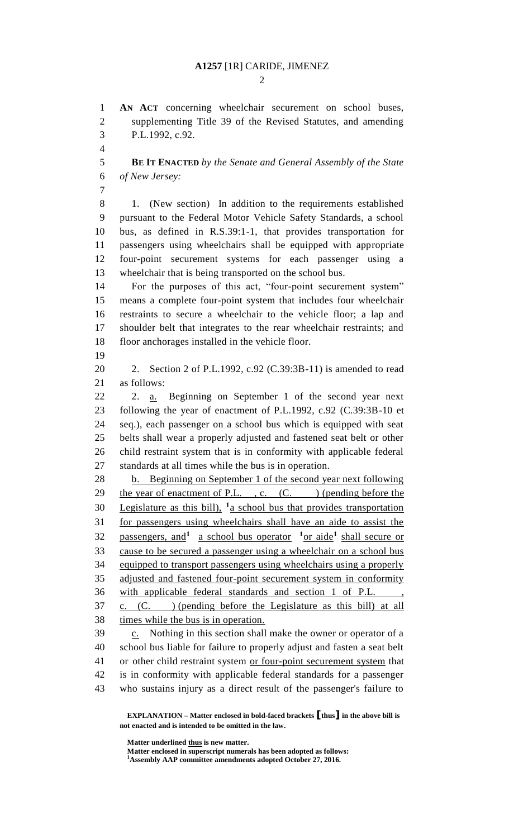#### **A1257** [1R] CARIDE, JIMENEZ

 $\mathcal{D}_{\mathcal{L}}$ 

 **AN ACT** concerning wheelchair securement on school buses, supplementing Title 39 of the Revised Statutes, and amending P.L.1992, c.92.

 **BE IT ENACTED** *by the Senate and General Assembly of the State of New Jersey:*

 1. (New section) In addition to the requirements established pursuant to the Federal Motor Vehicle Safety Standards, a school bus, as defined in R.S.39:1-1, that provides transportation for passengers using wheelchairs shall be equipped with appropriate four-point securement systems for each passenger using a wheelchair that is being transported on the school bus.

 For the purposes of this act, "four-point securement system" means a complete four-point system that includes four wheelchair restraints to secure a wheelchair to the vehicle floor; a lap and shoulder belt that integrates to the rear wheelchair restraints; and floor anchorages installed in the vehicle floor.

 2. Section 2 of P.L.1992, c.92 (C.39:3B-11) is amended to read as follows:

 2. a. Beginning on September 1 of the second year next following the year of enactment of P.L.1992, c.92 (C.39:3B-10 et seq.), each passenger on a school bus which is equipped with seat belts shall wear a properly adjusted and fastened seat belt or other child restraint system that is in conformity with applicable federal standards at all times while the bus is in operation.

28 b. Beginning on September 1 of the second year next following 29 the year of enactment of P.L.  $, c.$  (C. ) (pending before the 30 Legislature as this bill), <sup>1</sup> a school bus that provides transportation for passengers using wheelchairs shall have an aide to assist the 32 passengers, and<sup>1</sup> a school bus operator <sup>1</sup> or aide<sup>1</sup> shall secure or cause to be secured a passenger using a wheelchair on a school bus equipped to transport passengers using wheelchairs using a properly adjusted and fastened four-point securement system in conformity with applicable federal standards and section 1 of P.L. , c. (C. ) (pending before the Legislature as this bill) at all times while the bus is in operation.

 c. Nothing in this section shall make the owner or operator of a school bus liable for failure to properly adjust and fasten a seat belt 41 or other child restraint system or four-point securement system that is in conformity with applicable federal standards for a passenger who sustains injury as a direct result of the passenger's failure to

**Matter enclosed in superscript numerals has been adopted as follows:**

**Assembly AAP committee amendments adopted October 27, 2016.**

**EXPLANATION – Matter enclosed in bold-faced brackets [thus] in the above bill is not enacted and is intended to be omitted in the law.**

**Matter underlined thus is new matter.**